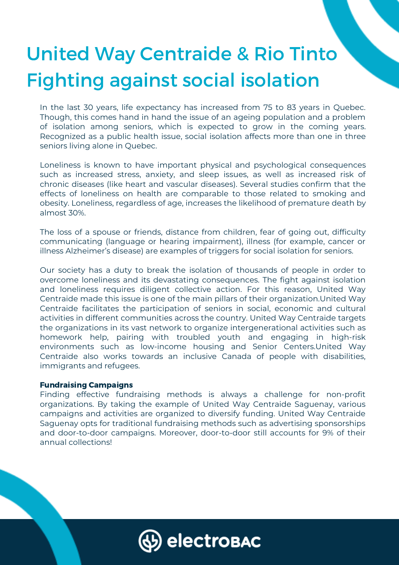# United Way Centraide & Rio Tinto Fighting against social isolation

In the last 30 years, life expectancy has increased from 75 to 83 years in Quebec. Though, this comes hand in hand the issue of an ageing population and a problem of isolation among seniors, which is expected to grow in the coming years. Recognized as a public health issue, social isolation affects more than one in three seniors living alone in Quebec.

Loneliness is known to have important physical and psychological consequences such as increased stress, anxiety, and sleep issues, as well as increased risk of chronic diseases (like heart and vascular diseases). Several studies confirm that the effects of loneliness on health are comparable to those related to smoking and obesity. Loneliness, regardless of age, increases the likelihood of premature death by almost 30%.

The loss of a spouse or friends, distance from children, fear of going out, difficulty communicating (language or hearing impairment), illness (for example, cancer or illness Alzheimer's disease) are examples of triggers for social isolation for seniors.

Our society has a duty to break the isolation of thousands of people in order to overcome loneliness and its devastating consequences. The fight against isolation and loneliness requires diligent collective action. For this reason, United Way Centraide made this issue is one of the main pillars of their organization.United Way Centraide facilitates the participation of seniors in social, economic and cultural activities in different communities across the country. United Way Centraide targets the organizations in its vast network to organize intergenerational activities such as homework help, pairing with troubled youth and engaging in high-risk environments such as low-income housing and Senior Centers.United Way Centraide also works towards an inclusive Canada of people with disabilities, immigrants and refugees.

## Fundraising Campaigns

Finding effective fundraising methods is always a challenge for non-profit organizations. By taking the example of United Way Centraide Saguenay, various campaigns and activities are organized to diversify funding. United Way Centraide Saguenay opts for traditional fundraising methods such as advertising sponsorships and door-to-door campaigns. Moreover, door-to-door still accounts for 9% of their annual collections!

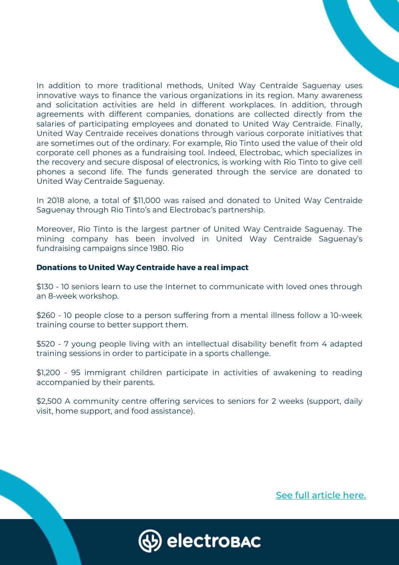In addition to more traditional methods, United Way Centraide Saguenay uses innovative ways to finance the various organizations in its region. Many awareness and solicitation activities are held in different workplaces. In addition, through agreements with different companies, donations are collected directly from the salaries of participating employees and donated to United Way Centraide. Finally, United Way Centraide receives donations through various corporate initiatives that are sometimes out of the ordinary. For example, Rio Tinto used the value of their old corporate cell phones as a fundraising tool. Indeed, Electrobac, which specializes in the recovery and secure disposal of electronics, is working with Rio Tinto to give cell phones a second life. The funds generated through the service are donated to United Way Centraide Saguenay.

In 2018 alone, a total of \$11,000 was raised and donated to United Way Centraide Saguenay through Rio Tinto's and Electrobac's partnership.

Moreover, Rio Tinto is the largest partner of United Way Centraide Saguenay. The mining company has been involved in United Way Centraide Saguenay's fundraising campaigns since 1980. Rio

### Donations to United Way Centraide have a real impact

\$130 - 10 seniors learn to use the Internet to communicate with loved ones through an 8-week workshop.

\$260 - 10 people close to a person suffering from a mental illness follow a 10-week training course to better support them.

\$520 - 7 young people living with an intellectual disability benefit from 4 adapted training sessions in order to participate in a sports challenge.

\$1,200 - 95 immigrant children participate in activities of awakening to reading accompanied by their parents.

\$2,500 A community centre offering services to seniors for 2 weeks (support, daily visit, home support, and food assistance).